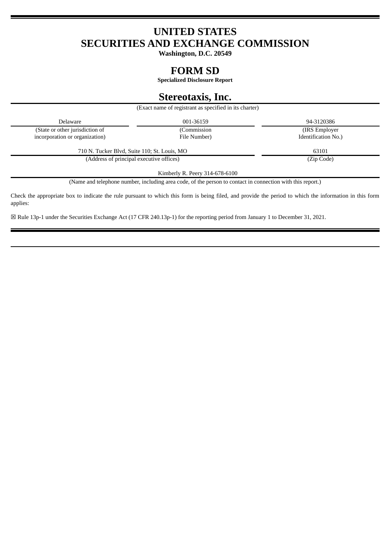# **UNITED STATES SECURITIES AND EXCHANGE COMMISSION**

**Washington, D.C. 20549**

## **FORM SD**

**Specialized Disclosure Report**

## **Stereotaxis, Inc.**

|                                              | (Exact name of registrant as specified in its charter) |                     |
|----------------------------------------------|--------------------------------------------------------|---------------------|
| Delaware                                     | 001-36159                                              | 94-3120386          |
| (State or other jurisdiction of              | (Commission)                                           | (IRS Employer)      |
| incorporation or organization)               | File Number)                                           | Identification No.) |
| 710 N. Tucker Blvd, Suite 110; St. Louis, MO |                                                        | 63101               |
| (Address of principal executive offices)     |                                                        | (Zip Code)          |

Kimberly R. Peery 314-678-6100

(Name and telephone number, including area code, of the person to contact in connection with this report.)

Check the appropriate box to indicate the rule pursuant to which this form is being filed, and provide the period to which the information in this form applies:

☒ Rule 13p-1 under the Securities Exchange Act (17 CFR 240.13p-1) for the reporting period from January 1 to December 31, 2021.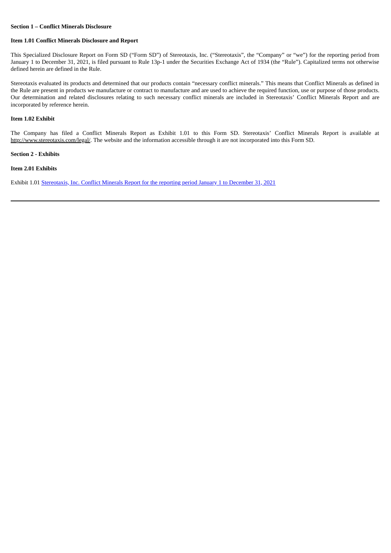## **Section 1 – Conflict Minerals Disclosure**

#### **Item 1.01 Conflict Minerals Disclosure and Report**

This Specialized Disclosure Report on Form SD ("Form SD") of Stereotaxis, Inc. ("Stereotaxis", the "Company" or "we") for the reporting period from January 1 to December 31, 2021, is filed pursuant to Rule 13p-1 under the Securities Exchange Act of 1934 (the "Rule"). Capitalized terms not otherwise defined herein are defined in the Rule.

Stereotaxis evaluated its products and determined that our products contain "necessary conflict minerals." This means that Conflict Minerals as defined in the Rule are present in products we manufacture or contract to manufacture and are used to achieve the required function, use or purpose of those products. Our determination and related disclosures relating to such necessary conflict minerals are included in Stereotaxis' Conflict Minerals Report and are incorporated by reference herein.

#### **Item 1.02 Exhibit**

The Company has filed a Conflict Minerals Report as Exhibit 1.01 to this Form SD. Stereotaxis' Conflict Minerals Report is available at http://www.stereotaxis.com/legal/. The website and the information accessible through it are not incorporated into this Form SD.

#### **Section 2 - Exhibits**

## **Item 2.01 Exhibits**

Exhibit 1.01 [Stereotaxis,](#page-3-0) Inc. Conflict Minerals Report for the reporting period January 1 to December 31, 2021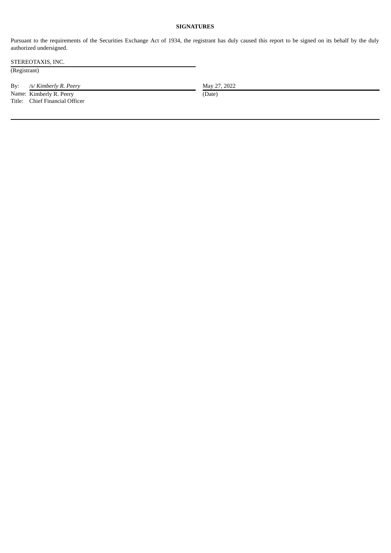## **SIGNATURES**

Pursuant to the requirements of the Securities Exchange Act of 1934, the registrant has duly caused this report to be signed on its behalf by the duly authorized undersigned.

STEREOTAXIS, INC.

(Registrant)

By: /s/*Kimberly R. Peery* May 27, 2022

Name: Kimberly R. Peery (Date) Title: Chief Financial Officer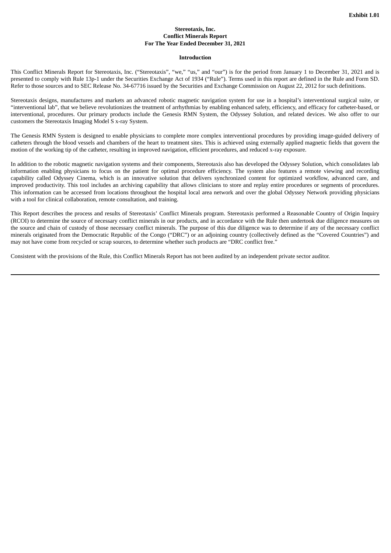#### **Stereotaxis, Inc. Conflict Minerals Report For The Year Ended December 31, 2021**

#### **Introduction**

<span id="page-3-0"></span>This Conflict Minerals Report for Stereotaxis, Inc. ("Stereotaxis", "we," "us," and "our") is for the period from January 1 to December 31, 2021 and is presented to comply with Rule 13p-1 under the Securities Exchange Act of 1934 ("Rule"). Terms used in this report are defined in the Rule and Form SD. Refer to those sources and to SEC Release No. 34-67716 issued by the Securities and Exchange Commission on August 22, 2012 for such definitions.

Stereotaxis designs, manufactures and markets an advanced robotic magnetic navigation system for use in a hospital's interventional surgical suite, or "interventional lab", that we believe revolutionizes the treatment of arrhythmias by enabling enhanced safety, efficiency, and efficacy for catheter-based, or interventional, procedures. Our primary products include the Genesis RMN System, the Odyssey Solution, and related devices. We also offer to our customers the Stereotaxis Imaging Model S x-ray System.

The Genesis RMN System is designed to enable physicians to complete more complex interventional procedures by providing image-guided delivery of catheters through the blood vessels and chambers of the heart to treatment sites. This is achieved using externally applied magnetic fields that govern the motion of the working tip of the catheter, resulting in improved navigation, efficient procedures, and reduced x-ray exposure.

In addition to the robotic magnetic navigation systems and their components, Stereotaxis also has developed the Odyssey Solution, which consolidates lab information enabling physicians to focus on the patient for optimal procedure efficiency. The system also features a remote viewing and recording capability called Odyssey Cinema, which is an innovative solution that delivers synchronized content for optimized workflow, advanced care, and improved productivity. This tool includes an archiving capability that allows clinicians to store and replay entire procedures or segments of procedures. This information can be accessed from locations throughout the hospital local area network and over the global Odyssey Network providing physicians with a tool for clinical collaboration, remote consultation, and training.

This Report describes the process and results of Stereotaxis' Conflict Minerals program. Stereotaxis performed a Reasonable Country of Origin Inquiry (RCOI) to determine the source of necessary conflict minerals in our products, and in accordance with the Rule then undertook due diligence measures on the source and chain of custody of those necessary conflict minerals. The purpose of this due diligence was to determine if any of the necessary conflict minerals originated from the Democratic Republic of the Congo ("DRC") or an adjoining country (collectively defined as the "Covered Countries") and may not have come from recycled or scrap sources, to determine whether such products are "DRC conflict free."

Consistent with the provisions of the Rule, this Conflict Minerals Report has not been audited by an independent private sector auditor.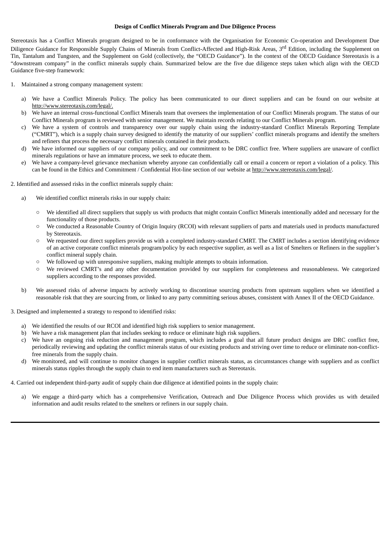#### **Design of Conflict Minerals Program and Due Diligence Process**

Stereotaxis has a Conflict Minerals program designed to be in conformance with the Organisation for Economic Co-operation and Development Due Diligence Guidance for Responsible Supply Chains of Minerals from Conflict-Affected and High-Risk Areas, 3<sup>rd</sup> Edition, including the Supplement on Tin, Tantalum and Tungsten, and the Supplement on Gold (collectively, the "OECD Guidance"). In the context of the OECD Guidance Stereotaxis is a "downstream company" in the conflict minerals supply chain. Summarized below are the five due diligence steps taken which align with the OECD Guidance five-step framework:

- 1. Maintained a strong company management system:
	- We have a Conflict Minerals Policy. The policy has been communicated to our direct suppliers and can be found on our website at http://www.stereotaxis.com/legal/.
	- b) We have an internal cross-functional Conflict Minerals team that oversees the implementation of our Conflict Minerals program. The status of our Conflict Minerals program is reviewed with senior management. We maintain records relating to our Conflict Minerals program.
	- c) We have a system of controls and transparency over our supply chain using the industry-standard Conflict Minerals Reporting Template ("CMRT"), which is a supply chain survey designed to identify the maturity of our suppliers' conflict minerals programs and identify the smelters and refiners that process the necessary conflict minerals contained in their products.
	- d) We have informed our suppliers of our company policy, and our commitment to be DRC conflict free. Where suppliers are unaware of conflict minerals regulations or have an immature process, we seek to educate them.
	- e) We have a company-level grievance mechanism whereby anyone can confidentially call or email a concern or report a violation of a policy. This can be found in the Ethics and Commitment / Confidential Hot-line section of our website at http://www.stereotaxis.com/legal/.
- 2. Identified and assessed risks in the conflict minerals supply chain:
	- a) We identified conflict minerals risks in our supply chain:
		- We identified all direct suppliers that supply us with products that might contain Conflict Minerals intentionally added and necessary for the functionality of those products.
		- We conducted a Reasonable Country of Origin Inquiry (RCOI) with relevant suppliers of parts and materials used in products manufactured by Stereotaxis.
		- We requested our direct suppliers provide us with a completed industry-standard CMRT. The CMRT includes a section identifying evidence of an active corporate conflict minerals program/policy by each respective supplier, as well as a list of Smelters or Refiners in the supplier's conflict mineral supply chain.
		- We followed up with unresponsive suppliers, making multiple attempts to obtain information.
		- We reviewed CMRT's and any other documentation provided by our suppliers for completeness and reasonableness. We categorized suppliers according to the responses provided.
	- b) We assessed risks of adverse impacts by actively working to discontinue sourcing products from upstream suppliers when we identified a reasonable risk that they are sourcing from, or linked to any party committing serious abuses, consistent with Annex II of the OECD Guidance.
- 3. Designed and implemented a strategy to respond to identified risks:
	- a) We identified the results of our RCOI and identified high risk suppliers to senior management.
	- b) We have a risk management plan that includes seeking to reduce or eliminate high risk suppliers.
	- c) We have an ongoing risk reduction and management program, which includes a goal that all future product designs are DRC conflict free, periodically reviewing and updating the conflict minerals status of our existing products and striving over time to reduce or eliminate non-conflictfree minerals from the supply chain.
	- d) We monitored, and will continue to monitor changes in supplier conflict minerals status, as circumstances change with suppliers and as conflict minerals status ripples through the supply chain to end item manufacturers such as Stereotaxis.
- 4. Carried out independent third-party audit of supply chain due diligence at identified points in the supply chain:
	- a) We engage a third-party which has a comprehensive Verification, Outreach and Due Diligence Process which provides us with detailed information and audit results related to the smelters or refiners in our supply chain.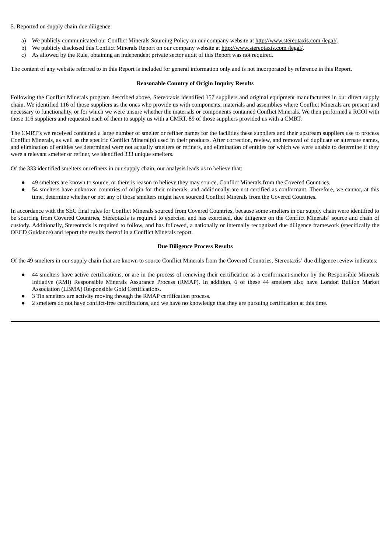## 5. Reported on supply chain due diligence:

- a) We publicly communicated our Conflict Minerals Sourcing Policy on our company website at http://www.stereotaxis.com /legal/.
- b) We publicly disclosed this Conflict Minerals Report on our company website at http://www.stereotaxis.com /legal/.
- c) As allowed by the Rule, obtaining an independent private sector audit of this Report was not required.

The content of any website referred to in this Report is included for general information only and is not incorporated by reference in this Report.

#### **Reasonable Country of Origin Inquiry Results**

Following the Conflict Minerals program described above, Stereotaxis identified 157 suppliers and original equipment manufacturers in our direct supply chain. We identified 116 of those suppliers as the ones who provide us with components, materials and assemblies where Conflict Minerals are present and necessary to functionality, or for which we were unsure whether the materials or components contained Conflict Minerals. We then performed a RCOI with those 116 suppliers and requested each of them to supply us with a CMRT. 89 of those suppliers provided us with a CMRT.

The CMRT's we received contained a large number of smelter or refiner names for the facilities these suppliers and their upstream suppliers use to process Conflict Minerals, as well as the specific Conflict Mineral(s) used in their products. After correction, review, and removal of duplicate or alternate names, and elimination of entities we determined were not actually smelters or refiners, and elimination of entities for which we were unable to determine if they were a relevant smelter or refiner, we identified 333 unique smelters.

Of the 333 identified smelters or refiners in our supply chain, our analysis leads us to believe that:

- 49 smelters are known to source, or there is reason to believe they may source, Conflict Minerals from the Covered Countries.
- 54 smelters have unknown countries of origin for their minerals, and additionally are not certified as conformant. Therefore, we cannot, at this time, determine whether or not any of those smelters might have sourced Conflict Minerals from the Covered Countries.

In accordance with the SEC final rules for Conflict Minerals sourced from Covered Countries, because some smelters in our supply chain were identified to be sourcing from Covered Countries, Stereotaxis is required to exercise, and has exercised, due diligence on the Conflict Minerals' source and chain of custody. Additionally, Stereotaxis is required to follow, and has followed, a nationally or internally recognized due diligence framework (specifically the OECD Guidance) and report the results thereof in a Conflict Minerals report.

#### **Due Diligence Process Results**

Of the 49 smelters in our supply chain that are known to source Conflict Minerals from the Covered Countries, Stereotaxis' due diligence review indicates:

- 44 smelters have active certifications, or are in the process of renewing their certification as a conformant smelter by the Responsible Minerals Initiative (RMI) Responsible Minerals Assurance Process (RMAP). In addition, 6 of these 44 smelters also have London Bullion Market Association (LBMA) Responsible Gold Certifications.
- 3 Tin smelters are activity moving through the RMAP certification process.
- 2 smelters do not have conflict-free certifications, and we have no knowledge that they are pursuing certification at this time.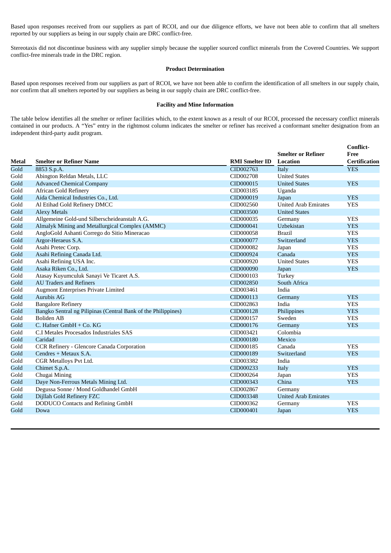Based upon responses received from our suppliers as part of RCOI, and our due diligence efforts, we have not been able to confirm that all smelters reported by our suppliers as being in our supply chain are DRC conflict-free.

Stereotaxis did not discontinue business with any supplier simply because the supplier sourced conflict minerals from the Covered Countries. We support conflict-free minerals trade in the DRC region.

## **Product Determination**

Based upon responses received from our suppliers as part of RCOI, we have not been able to confirm the identification of all smelters in our supply chain, nor confirm that all smelters reported by our suppliers as being in our supply chain are DRC conflict-free.

#### **Facility and Mine Information**

The table below identifies all the smelter or refiner facilities which, to the extent known as a result of our RCOI, processed the necessary conflict minerals contained in our products. A "Yes" entry in the rightmost column indicates the smelter or refiner has received a conformant smelter designation from an independent third-party audit program.

|              |                                                               |                       | <b>Smelter or Refiner</b>   | Conflict-<br>Free    |
|--------------|---------------------------------------------------------------|-----------------------|-----------------------------|----------------------|
| <b>Metal</b> | <b>Smelter or Refiner Name</b>                                | <b>RMI Smelter ID</b> | <b>Location</b>             | <b>Certification</b> |
| Gold         | 8853 S.p.A.                                                   | CID002763             | Italy                       | <b>YES</b>           |
| Gold         | Abington Reldan Metals, LLC                                   | CID002708             | <b>United States</b>        |                      |
| Gold         | <b>Advanced Chemical Company</b>                              | CID000015             | <b>United States</b>        | <b>YES</b>           |
| Gold         | <b>African Gold Refinery</b>                                  | CID003185             | Uganda                      |                      |
| Gold         | Aida Chemical Industries Co., Ltd.                            | CID000019             | Japan                       | <b>YES</b>           |
| Gold         | Al Etihad Gold Refinery DMCC                                  | CID002560             | <b>United Arab Emirates</b> | <b>YES</b>           |
| Gold         | <b>Alexy Metals</b>                                           | CID003500             | <b>United States</b>        |                      |
| Gold         | Allgemeine Gold-und Silberscheideanstalt A.G.                 | CID000035             | Germany                     | <b>YES</b>           |
| Gold         | Almalyk Mining and Metallurgical Complex (AMMC)               | CID000041             | Uzbekistan                  | <b>YES</b>           |
| Gold         | AngloGold Ashanti Corrego do Sitio Mineracao                  | CID000058             | <b>Brazil</b>               | <b>YES</b>           |
| Gold         | Argor-Heraeus S.A.                                            | CID000077             | Switzerland                 | <b>YES</b>           |
| Gold         | Asahi Pretec Corp.                                            | CID000082             | Japan                       | <b>YES</b>           |
| Gold         | Asahi Refining Canada Ltd.                                    | CID000924             | Canada                      | <b>YES</b>           |
| Gold         | Asahi Refining USA Inc.                                       | CID000920             | <b>United States</b>        | <b>YES</b>           |
| Gold         | Asaka Riken Co., Ltd.                                         | CID000090             | Japan                       | <b>YES</b>           |
| Gold         | Atasay Kuyumculuk Sanayi Ve Ticaret A.S.                      | CID000103             | Turkey                      |                      |
| Gold         | <b>AU Traders and Refiners</b>                                | CID002850             | South Africa                |                      |
| Gold         | <b>Augmont Enterprises Private Limited</b>                    | CID003461             | India                       |                      |
| Gold         | Aurubis AG                                                    | CID000113             | Germany                     | <b>YES</b>           |
| Gold         | <b>Bangalore Refinery</b>                                     | CID002863             | India                       | <b>YES</b>           |
| Gold         | Bangko Sentral ng Pilipinas (Central Bank of the Philippines) | CID000128             | Philippines                 | <b>YES</b>           |
| Gold         | <b>Boliden AB</b>                                             | CID000157             | Sweden                      | <b>YES</b>           |
| Gold         | C. Hafner GmbH + Co. KG                                       | CID000176             | Germany                     | <b>YES</b>           |
| Gold         | C.I Metales Procesados Industriales SAS                       | CID003421             | Colombia                    |                      |
| Gold         | Caridad                                                       | CID000180             | Mexico                      |                      |
| Gold         | CCR Refinery - Glencore Canada Corporation                    | CID000185             | Canada                      | <b>YES</b>           |
| Gold         | Cendres + Metaux S.A.                                         | CID000189             | Switzerland                 | <b>YES</b>           |
| Gold         | CGR Metalloys Pvt Ltd.                                        | CID003382             | India                       |                      |
| Gold         | Chimet S.p.A.                                                 | CID000233             | Italy                       | <b>YES</b>           |
| Gold         | Chugai Mining                                                 | CID000264             | Japan                       | <b>YES</b>           |
| Gold         | Daye Non-Ferrous Metals Mining Ltd.                           | CID000343             | China                       | <b>YES</b>           |
| Gold         | Degussa Sonne / Mond Goldhandel GmbH                          | CID002867             | Germany                     |                      |
| Gold         | Dijllah Gold Refinery FZC                                     | CID003348             | <b>United Arab Emirates</b> |                      |
| Gold         | DODUCO Contacts and Refining GmbH                             | CID000362             | Germany                     | <b>YES</b>           |
| Gold         | Dowa                                                          | CID000401             | Japan                       | <b>YES</b>           |
|              |                                                               |                       |                             |                      |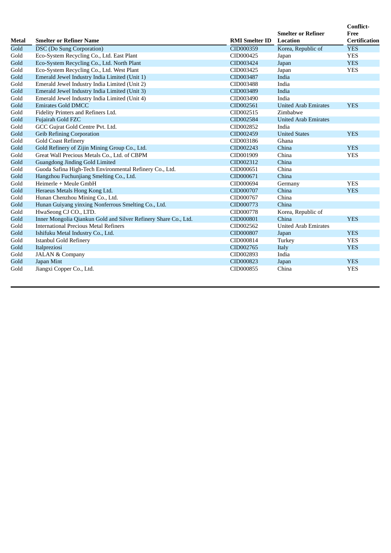| <b>Metal</b> | <b>Smelter or Refiner Name</b>                                  | <b>RMI Smelter ID</b> | <b>Smelter or Refiner</b><br><b>Location</b> | Conflict-<br>Free<br><b>Certification</b> |
|--------------|-----------------------------------------------------------------|-----------------------|----------------------------------------------|-------------------------------------------|
| Gold         | <b>DSC</b> (Do Sung Corporation)                                | CID000359             | Korea, Republic of                           | <b>YES</b>                                |
| Gold         | Eco-System Recycling Co., Ltd. East Plant                       | CID000425             | Japan                                        | <b>YES</b>                                |
| Gold         | Eco-System Recycling Co., Ltd. North Plant                      | CID003424             | Japan                                        | <b>YES</b>                                |
| Gold         | Eco-System Recycling Co., Ltd. West Plant                       | CID003425             | Japan                                        | <b>YES</b>                                |
| Gold         | Emerald Jewel Industry India Limited (Unit 1)                   | CID003487             | India                                        |                                           |
| Gold         | Emerald Jewel Industry India Limited (Unit 2)                   | CID003488             | India                                        |                                           |
| Gold         | Emerald Jewel Industry India Limited (Unit 3)                   | CID003489             | India                                        |                                           |
| Gold         | Emerald Jewel Industry India Limited (Unit 4)                   | CID003490             | India                                        |                                           |
| Gold         | <b>Emirates Gold DMCC</b>                                       | CID002561             | <b>United Arab Emirates</b>                  | <b>YES</b>                                |
| Gold         | Fidelity Printers and Refiners Ltd.                             | CID002515             | Zimbabwe                                     |                                           |
| Gold         | Fujairah Gold FZC                                               | CID002584             | <b>United Arab Emirates</b>                  |                                           |
| Gold         | GCC Gujrat Gold Centre Pvt. Ltd.                                | CID002852             | India                                        |                                           |
| Gold         | <b>Geib Refining Corporation</b>                                | CID002459             | <b>United States</b>                         | <b>YES</b>                                |
| Gold         | <b>Gold Coast Refinery</b>                                      | CID003186             | Ghana                                        |                                           |
| Gold         | Gold Refinery of Zijin Mining Group Co., Ltd.                   | CID002243             | China                                        | <b>YES</b>                                |
| Gold         | Great Wall Precious Metals Co., Ltd. of CBPM                    | CID001909             | China                                        | <b>YES</b>                                |
| Gold         | Guangdong Jinding Gold Limited                                  | CID002312             | China                                        |                                           |
| Gold         | Guoda Safina High-Tech Environmental Refinery Co., Ltd.         | CID000651             | China                                        |                                           |
| Gold         | Hangzhou Fuchunjiang Smelting Co., Ltd.                         | CID000671             | China                                        |                                           |
| Gold         | Heimerle + Meule GmbH                                           | CID000694             | Germany                                      | <b>YES</b>                                |
| Gold         | Heraeus Metals Hong Kong Ltd.                                   | CID000707             | China                                        | <b>YES</b>                                |
| Gold         | Hunan Chenzhou Mining Co., Ltd.                                 | CID000767             | China                                        |                                           |
| Gold         | Hunan Guiyang yinxing Nonferrous Smelting Co., Ltd.             | CID000773             | China                                        |                                           |
| Gold         | HwaSeong CJ CO., LTD.                                           | CID000778             | Korea, Republic of                           |                                           |
| Gold         | Inner Mongolia Qiankun Gold and Silver Refinery Share Co., Ltd. | CID000801             | China                                        | <b>YES</b>                                |
| Gold         | <b>International Precious Metal Refiners</b>                    | CID002562             | <b>United Arab Emirates</b>                  |                                           |
| Gold         | Ishifuku Metal Industry Co., Ltd.                               | CID000807             | Japan                                        | <b>YES</b>                                |
| Gold         | <b>Istanbul Gold Refinery</b>                                   | CID000814             | Turkey                                       | <b>YES</b>                                |
| Gold         | Italpreziosi                                                    | CID002765             | Italy                                        | <b>YES</b>                                |
| Gold         | <b>JALAN &amp; Company</b>                                      | CID002893             | India                                        |                                           |
| Gold         | Japan Mint                                                      | CID000823             | Japan                                        | <b>YES</b>                                |
| Gold         | Jiangxi Copper Co., Ltd.                                        | CID000855             | China                                        | <b>YES</b>                                |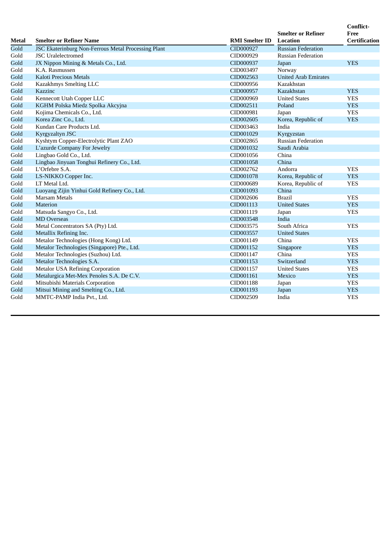|              |                                                                                  |                        | <b>Smelter or Refiner</b>               | <b>Conflict-</b><br>Free |
|--------------|----------------------------------------------------------------------------------|------------------------|-----------------------------------------|--------------------------|
| Metal        | <b>Smelter or Refiner Name</b>                                                   | <b>RMI</b> Smelter ID  | <b>Location</b>                         | <b>Certification</b>     |
| Gold         | JSC Ekaterinburg Non-Ferrous Metal Processing Plant<br><b>JSC</b> Uralelectromed | CID000927              | <b>Russian Federation</b>               |                          |
| Gold         |                                                                                  | CID000929              | <b>Russian Federation</b>               |                          |
| Gold<br>Gold | JX Nippon Mining & Metals Co., Ltd.<br>K.A. Rasmussen                            | CID000937<br>CID003497 | Japan                                   | <b>YES</b>               |
| Gold         | Kaloti Precious Metals                                                           | CID002563              | Norway<br><b>United Arab Emirates</b>   |                          |
| Gold         |                                                                                  | CID000956              | Kazakhstan                              |                          |
| Gold         | Kazakhmys Smelting LLC<br>Kazzinc                                                | CID000957              | Kazakhstan                              | <b>YES</b>               |
|              |                                                                                  |                        | <b>United States</b>                    |                          |
| Gold<br>Gold | Kennecott Utah Copper LLC                                                        | CID000969<br>CID002511 | Poland                                  | <b>YES</b><br><b>YES</b> |
|              | KGHM Polska Miedz Spolka Akcyjna                                                 | CID000981              |                                         |                          |
| Gold         | Kojima Chemicals Co., Ltd.                                                       |                        | Japan                                   | <b>YES</b><br><b>YES</b> |
| Gold         | Korea Zinc Co., Ltd.                                                             | CID002605              | Korea, Republic of                      |                          |
| Gold         | Kundan Care Products Ltd.                                                        | CID003463              | India                                   |                          |
| Gold         | <b>Kyrgyzaltyn JSC</b>                                                           | CID001029<br>CID002865 | Kyrgyzstan<br><b>Russian Federation</b> |                          |
| Gold         | Kyshtym Copper-Electrolytic Plant ZAO                                            |                        |                                         |                          |
| Gold         | L'azurde Company For Jewelry                                                     | CID001032              | Saudi Arabia                            |                          |
| Gold         | Lingbao Gold Co., Ltd.                                                           | CID001056              | China                                   |                          |
| Gold         | Lingbao Jinyuan Tonghui Refinery Co., Ltd.                                       | CID001058              | China                                   |                          |
| Gold         | L'Orfebre S.A.                                                                   | CID002762              | Andorra                                 | <b>YES</b>               |
| Gold         | LS-NIKKO Copper Inc.<br>LT Metal Ltd.                                            | CID001078              | Korea, Republic of                      | <b>YES</b><br><b>YES</b> |
| Gold         |                                                                                  | CID000689              | Korea, Republic of<br>China             |                          |
| Gold         | Luoyang Zijin Yinhui Gold Refinery Co., Ltd.                                     | CID001093              |                                         |                          |
| Gold         | <b>Marsam Metals</b>                                                             | CID002606              | <b>Brazil</b>                           | <b>YES</b>               |
| Gold         | Materion                                                                         | CID001113              | <b>United States</b>                    | <b>YES</b>               |
| Gold         | Matsuda Sangyo Co., Ltd.                                                         | CID001119              | Japan                                   | <b>YES</b>               |
| Gold         | <b>MD</b> Overseas                                                               | CID003548              | India                                   |                          |
| Gold         | Metal Concentrators SA (Pty) Ltd.                                                | CID003575              | South Africa                            | <b>YES</b>               |
| Gold         | Metallix Refining Inc.                                                           | CID003557              | <b>United States</b>                    |                          |
| Gold         | Metalor Technologies (Hong Kong) Ltd.                                            | CID001149              | China                                   | <b>YES</b>               |
| Gold         | Metalor Technologies (Singapore) Pte., Ltd.                                      | CID001152              | Singapore                               | <b>YES</b>               |
| Gold         | Metalor Technologies (Suzhou) Ltd.                                               | CID001147              | China                                   | <b>YES</b>               |
| Gold         | Metalor Technologies S.A.                                                        | CID001153              | Switzerland                             | <b>YES</b>               |
| Gold         | <b>Metalor USA Refining Corporation</b>                                          | CID001157              | <b>United States</b>                    | <b>YES</b>               |
| Gold         | Metalurgica Met-Mex Penoles S.A. De C.V.                                         | CID001161              | Mexico                                  | <b>YES</b>               |
| Gold         | Mitsubishi Materials Corporation                                                 | CID001188              | Japan                                   | <b>YES</b>               |
| Gold         | Mitsui Mining and Smelting Co., Ltd.                                             | CID001193              | Japan                                   | <b>YES</b>               |
| Gold         | MMTC-PAMP India Pvt., Ltd.                                                       | CID002509              | India                                   | <b>YES</b>               |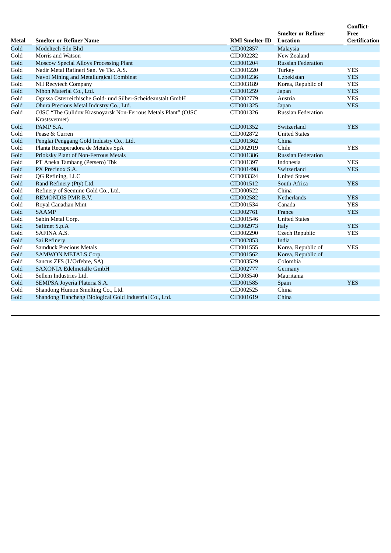| <b>Metal</b> | <b>Smelter or Refiner Name</b>                                                 | <b>RMI Smelter ID</b> | <b>Smelter or Refiner</b><br><b>Location</b> | <b>Conflict-</b><br>Free<br><b>Certification</b> |
|--------------|--------------------------------------------------------------------------------|-----------------------|----------------------------------------------|--------------------------------------------------|
| Gold         | Modeltech Sdn Bhd                                                              | CID002857             | Malaysia                                     |                                                  |
| Gold         | Morris and Watson                                                              | CID002282             | New Zealand                                  |                                                  |
| Gold         | <b>Moscow Special Alloys Processing Plant</b>                                  | CID001204             | <b>Russian Federation</b>                    |                                                  |
| Gold         | Nadir Metal Rafineri San. Ve Tic. A.S.                                         | CID001220             | Turkey                                       | <b>YES</b>                                       |
| Gold         | Navoi Mining and Metallurgical Combinat                                        | CID001236             | Uzbekistan                                   | <b>YES</b>                                       |
| Gold         | NH Recytech Company                                                            | CID003189             | Korea, Republic of                           | <b>YES</b>                                       |
| Gold         | Nihon Material Co., Ltd.                                                       | CID001259             | Japan                                        | <b>YES</b>                                       |
| Gold         | Ogussa Osterreichische Gold- und Silber-Scheideanstalt GmbH                    | CID002779             | Austria                                      | <b>YES</b>                                       |
| Gold         | Ohura Precious Metal Industry Co., Ltd.                                        | CID001325             | Japan                                        | <b>YES</b>                                       |
| Gold         | OJSC "The Gulidov Krasnoyarsk Non-Ferrous Metals Plant" (OJSC<br>Krastsvetmet) | CID001326             | <b>Russian Federation</b>                    |                                                  |
| Gold         | PAMP S.A.                                                                      | CID001352             | Switzerland                                  | <b>YES</b>                                       |
| Gold         | Pease & Curren                                                                 | CID002872             | <b>United States</b>                         |                                                  |
| Gold         | Penglai Penggang Gold Industry Co., Ltd.                                       | CID001362             | China                                        |                                                  |
| Gold         | Planta Recuperadora de Metales SpA                                             | CID002919             | Chile                                        | <b>YES</b>                                       |
| Gold         | Prioksky Plant of Non-Ferrous Metals                                           | CID001386             | <b>Russian Federation</b>                    |                                                  |
| Gold         | PT Aneka Tambang (Persero) Tbk                                                 | CID001397             | Indonesia                                    | <b>YES</b>                                       |
| Gold         | PX Precinox S.A.                                                               | CID001498             | Switzerland                                  | <b>YES</b>                                       |
| Gold         | QG Refining, LLC                                                               | CID003324             | <b>United States</b>                         |                                                  |
| Gold         | Rand Refinery (Pty) Ltd.                                                       | CID001512             | South Africa                                 | <b>YES</b>                                       |
| Gold         | Refinery of Seemine Gold Co., Ltd.                                             | CID000522             | China                                        |                                                  |
| Gold         | <b>REMONDIS PMR B.V.</b>                                                       | CID002582             | <b>Netherlands</b>                           | <b>YES</b>                                       |
| Gold         | Royal Canadian Mint                                                            | CID001534             | Canada                                       | <b>YES</b>                                       |
| Gold         | <b>SAAMP</b>                                                                   | CID002761             | France                                       | <b>YES</b>                                       |
| Gold         | Sabin Metal Corp.                                                              | CID001546             | <b>United States</b>                         |                                                  |
| Gold         | Safimet S.p.A                                                                  | CID002973             | Italy                                        | <b>YES</b>                                       |
| Gold         | SAFINA A.S.                                                                    | CID002290             | Czech Republic                               | <b>YES</b>                                       |
| Gold         | Sai Refinery                                                                   | CID002853             | India                                        |                                                  |
| Gold         | <b>Samduck Precious Metals</b>                                                 | CID001555             | Korea, Republic of                           | <b>YES</b>                                       |
| Gold         | <b>SAMWON METALS Corp.</b>                                                     | CID001562             | Korea, Republic of                           |                                                  |
| Gold         | Sancus ZFS (L'Orfebre, SA)                                                     | CID003529             | Colombia                                     |                                                  |
| Gold         | <b>SAXONIA Edelmetalle GmbH</b>                                                | CID002777             | Germany                                      |                                                  |
| Gold         | Sellem Industries Ltd.                                                         | CID003540             | Mauritania                                   |                                                  |
| Gold         | SEMPSA Joyeria Plateria S.A.                                                   | CID001585             | Spain                                        | <b>YES</b>                                       |
| Gold         | Shandong Humon Smelting Co., Ltd.                                              | CID002525             | China                                        |                                                  |
| Gold         | Shandong Tiancheng Biological Gold Industrial Co., Ltd.                        | CID001619             | China                                        |                                                  |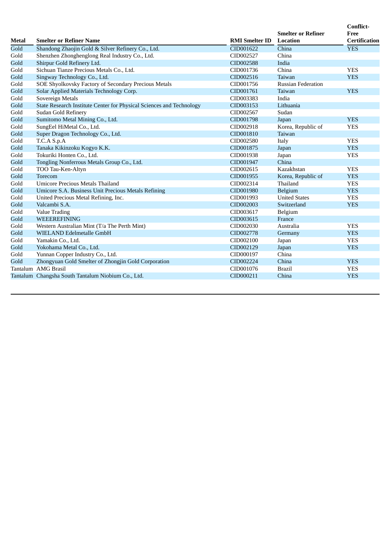| <b>Metal</b> | <b>Smelter or Refiner Name</b>                                       | <b>RMI</b> Smelter ID | <b>Smelter or Refiner</b><br><b>Location</b> | <b>Conflict-</b><br>Free<br><b>Certification</b> |
|--------------|----------------------------------------------------------------------|-----------------------|----------------------------------------------|--------------------------------------------------|
| Gold         | Shandong Zhaojin Gold & Silver Refinery Co., Ltd.                    | CID001622             | China                                        | <b>YES</b>                                       |
| Gold         | Shenzhen Zhonghenglong Real Industry Co., Ltd.                       | CID002527             | China                                        |                                                  |
| Gold         | Shirpur Gold Refinery Ltd.                                           | CID002588             | India                                        |                                                  |
| Gold         | Sichuan Tianze Precious Metals Co., Ltd.                             | CID001736             | China                                        | <b>YES</b>                                       |
| Gold         | Singway Technology Co., Ltd.                                         | CID002516             | Taiwan                                       | <b>YES</b>                                       |
| Gold         | SOE Shyolkovsky Factory of Secondary Precious Metals                 | CID001756             | <b>Russian Federation</b>                    |                                                  |
| Gold         | Solar Applied Materials Technology Corp.                             | CID001761             | Taiwan                                       | <b>YES</b>                                       |
| Gold         | Sovereign Metals                                                     | CID003383             | India                                        |                                                  |
| Gold         | State Research Institute Center for Physical Sciences and Technology | CID003153             | Lithuania                                    |                                                  |
| Gold         | Sudan Gold Refinery                                                  | CID002567             | Sudan                                        |                                                  |
| Gold         | Sumitomo Metal Mining Co., Ltd.                                      | CID001798             | Japan                                        | <b>YES</b>                                       |
| Gold         | SungEel HiMetal Co., Ltd.                                            | CID002918             | Korea, Republic of                           | <b>YES</b>                                       |
| Gold         | Super Dragon Technology Co., Ltd.                                    | CID001810             | Taiwan                                       |                                                  |
| Gold         | T.C.A S.p.A                                                          | CID002580             | Italy                                        | <b>YES</b>                                       |
| Gold         | Tanaka Kikinzoku Kogyo K.K.                                          | CID001875             | Japan                                        | <b>YES</b>                                       |
| Gold         | Tokuriki Honten Co., Ltd.                                            | CID001938             | Japan                                        | <b>YES</b>                                       |
| Gold         | Tongling Nonferrous Metals Group Co., Ltd.                           | CID001947             | China                                        |                                                  |
| Gold         | TOO Tau-Ken-Altyn                                                    | CID002615             | Kazakhstan                                   | <b>YES</b>                                       |
| Gold         | <b>Torecom</b>                                                       | CID001955             | Korea, Republic of                           | <b>YES</b>                                       |
| Gold         | Umicore Precious Metals Thailand                                     | CID002314             | Thailand                                     | <b>YES</b>                                       |
| Gold         | Umicore S.A. Business Unit Precious Metals Refining                  | CID001980             | Belgium                                      | <b>YES</b>                                       |
| Gold         | United Precious Metal Refining, Inc.                                 | CID001993             | <b>United States</b>                         | <b>YES</b>                                       |
| Gold         | Valcambi S.A.                                                        | CID002003             | Switzerland                                  | <b>YES</b>                                       |
| Gold         | Value Trading                                                        | CID003617             | Belgium                                      |                                                  |
| Gold         | <b>WEEEREFINING</b>                                                  | CID003615             | France                                       |                                                  |
| Gold         | Western Australian Mint (T/a The Perth Mint)                         | CID002030             | Australia                                    | <b>YES</b>                                       |
| Gold         | WIELAND Edelmetalle GmbH                                             | CID002778             | Germany                                      | <b>YES</b>                                       |
| Gold         | Yamakin Co., Ltd.                                                    | CID002100             | Japan                                        | <b>YES</b>                                       |
| Gold         | Yokohama Metal Co., Ltd.                                             | CID002129             | Japan                                        | <b>YES</b>                                       |
| Gold         | Yunnan Copper Industry Co., Ltd.                                     | CID000197             | China                                        |                                                  |
| Gold         | Zhongyuan Gold Smelter of Zhongjin Gold Corporation                  | CID002224             | China                                        | <b>YES</b>                                       |
|              | Tantalum AMG Brasil                                                  | CID001076             | <b>Brazil</b>                                | <b>YES</b>                                       |
|              | Tantalum Changsha South Tantalum Niobium Co., Ltd.                   | CID000211             | China                                        | <b>YES</b>                                       |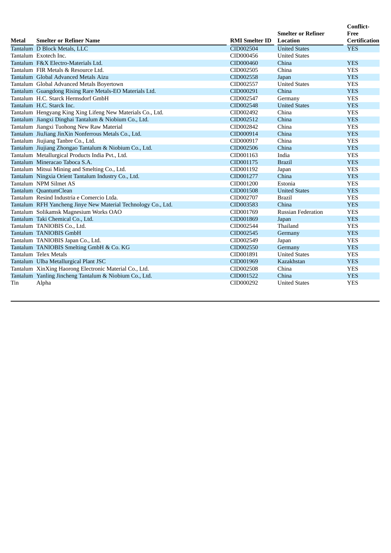| Metal | <b>Smelter or Refiner Name</b>                                | <b>RMI</b> Smelter ID | <b>Smelter or Refiner</b><br><b>Location</b> | Conflict-<br>Free<br><b>Certification</b> |
|-------|---------------------------------------------------------------|-----------------------|----------------------------------------------|-------------------------------------------|
|       | Tantalum D Block Metals, LLC                                  | CID002504             | <b>United States</b>                         | <b>YES</b>                                |
|       | Tantalum Exotech Inc.                                         | CID000456             | <b>United States</b>                         |                                           |
|       | Tantalum F&X Electro-Materials Ltd.                           | CID000460             | China                                        | <b>YES</b>                                |
|       | Tantalum FIR Metals & Resource Ltd.                           | CID002505             | China                                        | <b>YES</b>                                |
|       | Tantalum Global Advanced Metals Aizu                          | CID002558             | Japan                                        | <b>YES</b>                                |
|       | Tantalum Global Advanced Metals Boyertown                     | CID002557             | <b>United States</b>                         | <b>YES</b>                                |
|       | Tantalum Guangdong Rising Rare Metals-EO Materials Ltd.       | CID000291             | China                                        | <b>YES</b>                                |
|       | Tantalum H.C. Starck Hermsdorf GmbH                           | CID002547             | Germany                                      | <b>YES</b>                                |
|       | Tantalum H.C. Starck Inc.                                     | CID002548             | <b>United States</b>                         | <b>YES</b>                                |
|       | Tantalum Hengyang King Xing Lifeng New Materials Co., Ltd.    | CID002492             | China                                        | <b>YES</b>                                |
|       | Tantalum Jiangxi Dinghai Tantalum & Niobium Co., Ltd.         | CID002512             | China                                        | <b>YES</b>                                |
|       | Tantalum Jiangxi Tuohong New Raw Material                     | CID002842             | China                                        | <b>YES</b>                                |
|       | Tantalum JiuJiang JinXin Nonferrous Metals Co., Ltd.          | CID000914             | China                                        | <b>YES</b>                                |
|       | Tantalum Jiujiang Tanbre Co., Ltd.                            | CID000917             | China                                        | <b>YES</b>                                |
|       | Tantalum Jiujiang Zhongao Tantalum & Niobium Co., Ltd.        | CID002506             | China                                        | <b>YES</b>                                |
|       | Tantalum Metallurgical Products India Pvt., Ltd.              | CID001163             | India                                        | <b>YES</b>                                |
|       | Tantalum Mineracao Taboca S.A.                                | CID001175             | <b>Brazil</b>                                | <b>YES</b>                                |
|       | Tantalum Mitsui Mining and Smelting Co., Ltd.                 | CID001192             | Japan                                        | <b>YES</b>                                |
|       | Tantalum Ningxia Orient Tantalum Industry Co., Ltd.           | CID001277             | China                                        | <b>YES</b>                                |
|       | Tantalum NPM Silmet AS                                        | CID001200             | Estonia                                      | <b>YES</b>                                |
|       | Tantalum QuantumClean                                         | CID001508             | <b>United States</b>                         | <b>YES</b>                                |
|       | Tantalum Resind Industria e Comercio Ltda.                    | CID002707             | <b>Brazil</b>                                | <b>YES</b>                                |
|       | Tantalum RFH Yancheng Jinye New Material Technology Co., Ltd. | CID003583             | China                                        | <b>YES</b>                                |
|       | Tantalum Solikamsk Magnesium Works OAO                        | CID001769             | <b>Russian Federation</b>                    | <b>YES</b>                                |
|       | Tantalum Taki Chemical Co., Ltd.                              | CID001869             | Japan                                        | <b>YES</b>                                |
|       | Tantalum TANIOBIS Co., Ltd.                                   | CID002544             | Thailand                                     | <b>YES</b>                                |
|       | Tantalum TANIOBIS GmbH                                        | CID002545             | Germany                                      | <b>YES</b>                                |
|       | Tantalum TANIOBIS Japan Co., Ltd.                             | CID002549             | Japan                                        | <b>YES</b>                                |
|       | Tantalum TANIOBIS Smelting GmbH & Co. KG                      | CID002550             | Germany                                      | <b>YES</b>                                |
|       | Tantalum Telex Metals                                         | CID001891             | <b>United States</b>                         | <b>YES</b>                                |
|       | Tantalum Ulba Metallurgical Plant JSC                         | CID001969             | Kazakhstan                                   | <b>YES</b>                                |
|       | Tantalum XinXing Haorong Electronic Material Co., Ltd.        | CID002508             | China                                        | <b>YES</b>                                |
|       | Tantalum Yanling Jincheng Tantalum & Niobium Co., Ltd.        | CID001522             | China                                        | <b>YES</b>                                |
| Tin   | Alpha                                                         | CID000292             | <b>United States</b>                         | <b>YES</b>                                |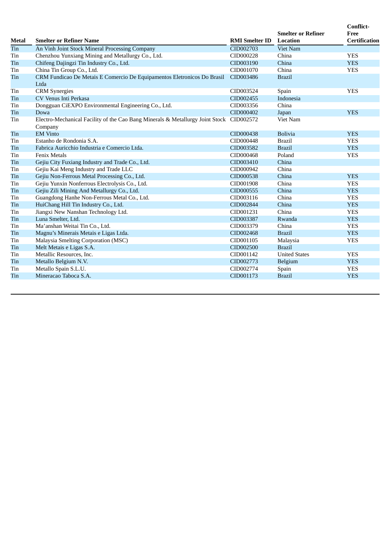| <b>Metal</b> | <b>Smelter or Refiner Name</b>                                                                     | <b>RMI</b> Smelter ID | <b>Smelter or Refiner</b><br><b>Location</b> | <b>Conflict-</b><br>Free<br><b>Certification</b> |
|--------------|----------------------------------------------------------------------------------------------------|-----------------------|----------------------------------------------|--------------------------------------------------|
| Tin          | An Vinh Joint Stock Mineral Processing Company                                                     | CID002703             | <b>Viet Nam</b>                              |                                                  |
| Tin          | Chenzhou Yunxiang Mining and Metallurgy Co., Ltd.                                                  | CID000228             | China                                        | <b>YES</b>                                       |
| Tin          | Chifeng Dajingzi Tin Industry Co., Ltd.                                                            | CID003190             | China                                        | <b>YES</b>                                       |
| Tin          | China Tin Group Co., Ltd.                                                                          | CID001070             | China                                        | <b>YES</b>                                       |
| Tin          | CRM Fundicao De Metais E Comercio De Equipamentos Eletronicos Do Brasil<br>Ltda                    | CID003486             | <b>Brazil</b>                                |                                                  |
| Tin          | <b>CRM</b> Synergies                                                                               | CID003524             | Spain                                        | <b>YES</b>                                       |
| Tin          | CV Venus Inti Perkasa                                                                              | CID002455             | Indonesia                                    |                                                  |
| Tin          | Dongguan CiEXPO Environmental Engineering Co., Ltd.                                                | CID003356             | China                                        |                                                  |
| Tin          | Dowa                                                                                               | CID000402             | Japan                                        | <b>YES</b>                                       |
| Tin          | Electro-Mechanical Facility of the Cao Bang Minerals & Metallurgy Joint Stock CID002572<br>Company |                       | <b>Viet Nam</b>                              |                                                  |
| Tin          | <b>EM Vinto</b>                                                                                    | CID000438             | <b>Bolivia</b>                               | <b>YES</b>                                       |
| Tin          | Estanho de Rondonia S.A.                                                                           | CID000448             | <b>Brazil</b>                                | <b>YES</b>                                       |
| Tin          | Fabrica Auricchio Industria e Comercio Ltda.                                                       | CID003582             | <b>Brazil</b>                                | <b>YES</b>                                       |
| Tin          | <b>Fenix Metals</b>                                                                                | CID000468             | Poland                                       | <b>YES</b>                                       |
| Tin          | Gejiu City Fuxiang Industry and Trade Co., Ltd.                                                    | CID003410             | China                                        |                                                  |
| Tin          | Gejiu Kai Meng Industry and Trade LLC                                                              | CID000942             | China                                        |                                                  |
| Tin          | Gejiu Non-Ferrous Metal Processing Co., Ltd.                                                       | CID000538             | China                                        | <b>YES</b>                                       |
| Tin          | Gejiu Yunxin Nonferrous Electrolysis Co., Ltd.                                                     | CID001908             | China                                        | <b>YES</b>                                       |
| Tin          | Gejiu Zili Mining And Metallurgy Co., Ltd.                                                         | CID000555             | China                                        | <b>YES</b>                                       |
| Tin          | Guangdong Hanhe Non-Ferrous Metal Co., Ltd.                                                        | CID003116             | China                                        | <b>YES</b>                                       |
| Tin          | HuiChang Hill Tin Industry Co., Ltd.                                                               | CID002844             | China                                        | <b>YES</b>                                       |
| Tin          | Jiangxi New Nanshan Technology Ltd.                                                                | CID001231             | China                                        | <b>YES</b>                                       |
| Tin          | Luna Smelter, Ltd.                                                                                 | CID003387             | Rwanda                                       | <b>YES</b>                                       |
| Tin          | Ma'anshan Weitai Tin Co., Ltd.                                                                     | CID003379             | China                                        | <b>YES</b>                                       |
| Tin          | Magnu's Minerais Metais e Ligas Ltda.                                                              | CID002468             | <b>Brazil</b>                                | <b>YES</b>                                       |
| Tin          | Malaysia Smelting Corporation (MSC)                                                                | CID001105             | Malaysia                                     | <b>YES</b>                                       |
| Tin          | Melt Metais e Ligas S.A.                                                                           | CID002500             | <b>Brazil</b>                                |                                                  |
| Tin          | Metallic Resources, Inc.                                                                           | CID001142             | <b>United States</b>                         | <b>YES</b>                                       |
| Tin          | Metallo Belgium N.V.                                                                               | CID002773             | Belgium                                      | <b>YES</b>                                       |
| Tin          | Metallo Spain S.L.U.                                                                               | CID002774             | Spain                                        | <b>YES</b>                                       |
| Tin          | Mineracao Taboca S.A.                                                                              | CID001173             | <b>Brazil</b>                                | <b>YES</b>                                       |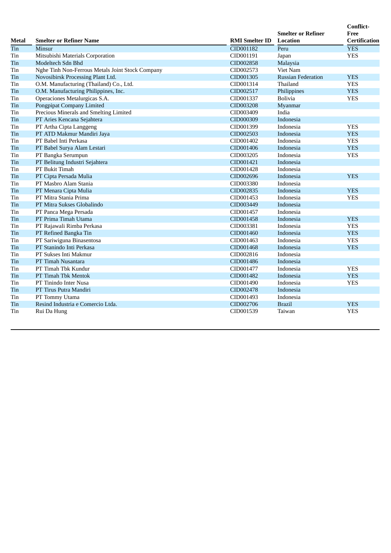| Metal | <b>Smelter or Refiner Name</b>                   | <b>RMI</b> Smelter ID | <b>Smelter or Refiner</b><br><b>Location</b> | <b>Conflict-</b><br>Free<br><b>Certification</b> |
|-------|--------------------------------------------------|-----------------------|----------------------------------------------|--------------------------------------------------|
| Tin   | Minsur                                           | CID001182             | Peru                                         | <b>YES</b>                                       |
| Tin   | Mitsubishi Materials Corporation                 | CID001191             | Japan                                        | <b>YES</b>                                       |
| Tin   | Modeltech Sdn Bhd                                | CID002858             | Malaysia                                     |                                                  |
| Tin   | Nghe Tinh Non-Ferrous Metals Joint Stock Company | CID002573             | <b>Viet Nam</b>                              |                                                  |
| Tin   | Novosibirsk Processing Plant Ltd.                | CID001305             | <b>Russian Federation</b>                    | <b>YES</b>                                       |
| Tin   | O.M. Manufacturing (Thailand) Co., Ltd.          | CID001314             | Thailand                                     | <b>YES</b>                                       |
| Tin   | O.M. Manufacturing Philippines, Inc.             | CID002517             | Philippines                                  | <b>YES</b>                                       |
| Tin   | Operaciones Metalurgicas S.A.                    | CID001337             | Bolivia                                      | <b>YES</b>                                       |
| Tin   | <b>Pongpipat Company Limited</b>                 | CID003208             | Myanmar                                      |                                                  |
| Tin   | Precious Minerals and Smelting Limited           | CID003409             | India                                        |                                                  |
| Tin   | PT Aries Kencana Sejahtera                       | CID000309             | Indonesia                                    |                                                  |
| Tin   | PT Artha Cipta Langgeng                          | CID001399             | Indonesia                                    | <b>YES</b>                                       |
| Tin   | PT ATD Makmur Mandiri Jaya                       | CID002503             | Indonesia                                    | <b>YES</b>                                       |
| Tin   | PT Babel Inti Perkasa                            | CID001402             | Indonesia                                    | <b>YES</b>                                       |
| Tin   | PT Babel Surya Alam Lestari                      | CID001406             | Indonesia                                    | <b>YES</b>                                       |
| Tin   | PT Bangka Serumpun                               | CID003205             | Indonesia                                    | <b>YES</b>                                       |
| Tin   | PT Belitung Industri Sejahtera                   | CID001421             | Indonesia                                    |                                                  |
| Tin   | PT Bukit Timah                                   | CID001428             | Indonesia                                    |                                                  |
| Tin   | PT Cipta Persada Mulia                           | CID002696             | Indonesia                                    | <b>YES</b>                                       |
| Tin   | PT Masbro Alam Stania                            | CID003380             | Indonesia                                    |                                                  |
| Tin   | PT Menara Cipta Mulia                            | CID002835             | Indonesia                                    | <b>YES</b>                                       |
| Tin   | PT Mitra Stania Prima                            | CID001453             | Indonesia                                    | <b>YES</b>                                       |
| Tin   | PT Mitra Sukses Globalindo                       | CID003449             | Indonesia                                    |                                                  |
| Tin   | PT Panca Mega Persada                            | CID001457             | Indonesia                                    |                                                  |
| Tin   | PT Prima Timah Utama                             | CID001458             | Indonesia                                    | <b>YES</b>                                       |
| Tin   | PT Rajawali Rimba Perkasa                        | CID003381             | Indonesia                                    | <b>YES</b>                                       |
| Tin   | PT Refined Bangka Tin                            | CID001460             | Indonesia                                    | <b>YES</b>                                       |
| Tin   | PT Sariwiguna Binasentosa                        | CID001463             | Indonesia                                    | <b>YES</b>                                       |
| Tin   | PT Stanindo Inti Perkasa                         | CID001468             | Indonesia                                    | <b>YES</b>                                       |
| Tin   | PT Sukses Inti Makmur                            | CID002816             | Indonesia                                    |                                                  |
| Tin   | PT Timah Nusantara                               | CID001486             | Indonesia                                    |                                                  |
| Tin   | PT Timah Tbk Kundur                              | CID001477             | Indonesia                                    | <b>YES</b>                                       |
| Tin   | PT Timah Tbk Mentok                              | CID001482             | Indonesia                                    | <b>YES</b>                                       |
| Tin   | PT Tinindo Inter Nusa                            | CID001490             | Indonesia                                    | <b>YES</b>                                       |
| Tin   | PT Tirus Putra Mandiri                           | CID002478             | Indonesia                                    |                                                  |
| Tin   | PT Tommy Utama                                   | CID001493             | Indonesia                                    |                                                  |
| Tin   | Resind Industria e Comercio Ltda.                | CID002706             | <b>Brazil</b>                                | <b>YES</b>                                       |
| Tin   | Rui Da Hung                                      | CID001539             | Taiwan                                       | <b>YES</b>                                       |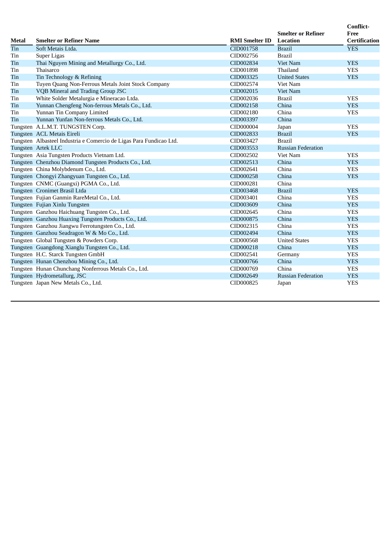| Metal | <b>Smelter or Refiner Name</b>                                      | <b>RMI</b> Smelter ID | <b>Smelter or Refiner</b><br><b>Location</b> | Conflict-<br>Free<br><b>Certification</b> |
|-------|---------------------------------------------------------------------|-----------------------|----------------------------------------------|-------------------------------------------|
| Tin   | Soft Metais Ltda.                                                   | CID001758             | <b>Brazil</b>                                | <b>YES</b>                                |
| Tin   | Super Ligas                                                         | CID002756             | <b>Brazil</b>                                |                                           |
| Tin   | Thai Nguyen Mining and Metallurgy Co., Ltd.                         | CID002834             | <b>Viet Nam</b>                              | <b>YES</b>                                |
| Tin   | Thaisarco                                                           | CID001898             | Thailand                                     | <b>YES</b>                                |
| Tin   | Tin Technology & Refining                                           | CID003325             | <b>United States</b>                         | <b>YES</b>                                |
| Tin   | Tuyen Quang Non-Ferrous Metals Joint Stock Company                  | CID002574             | Viet Nam                                     |                                           |
| Tin   | VQB Mineral and Trading Group JSC                                   | CID002015             | <b>Viet Nam</b>                              |                                           |
| Tin   | White Solder Metalurgia e Mineracao Ltda.                           | CID002036             | <b>Brazil</b>                                | <b>YES</b>                                |
| Tin   | Yunnan Chengfeng Non-ferrous Metals Co., Ltd.                       | CID002158             | China                                        | <b>YES</b>                                |
| Tin   | Yunnan Tin Company Limited                                          | CID002180             | China                                        | <b>YES</b>                                |
| Tin   | Yunnan Yunfan Non-ferrous Metals Co., Ltd.                          | CID003397             | China                                        |                                           |
|       | Tungsten A.L.M.T. TUNGSTEN Corp.                                    | CID000004             | Japan                                        | <b>YES</b>                                |
|       | Tungsten ACL Metais Eireli                                          | CID002833             | <b>Brazil</b>                                | <b>YES</b>                                |
|       | Tungsten Albasteel Industria e Comercio de Ligas Para Fundicao Ltd. | CID003427             | <b>Brazil</b>                                |                                           |
|       | Tungsten Artek LLC                                                  | CID003553             | <b>Russian Federation</b>                    |                                           |
|       | Tungsten Asia Tungsten Products Vietnam Ltd.                        | CID002502             | Viet Nam                                     | <b>YES</b>                                |
|       | Tungsten Chenzhou Diamond Tungsten Products Co., Ltd.               | CID002513             | China                                        | <b>YES</b>                                |
|       | Tungsten China Molybdenum Co., Ltd.                                 | CID002641             | China                                        | <b>YES</b>                                |
|       | Tungsten Chongyi Zhangyuan Tungsten Co., Ltd.                       | CID000258             | China                                        | <b>YES</b>                                |
|       | Tungsten CNMC (Guangxi) PGMA Co., Ltd.                              | CID000281             | China                                        |                                           |
|       | Tungsten Cronimet Brasil Ltda                                       | CID003468             | <b>Brazil</b>                                | <b>YES</b>                                |
|       | Tungsten Fujian Ganmin RareMetal Co., Ltd.                          | CID003401             | China                                        | <b>YES</b>                                |
|       | Tungsten Fujian Xinlu Tungsten                                      | CID003609             | China                                        | <b>YES</b>                                |
|       | Tungsten Ganzhou Haichuang Tungsten Co., Ltd.                       | CID002645             | China                                        | <b>YES</b>                                |
|       | Tungsten Ganzhou Huaxing Tungsten Products Co., Ltd.                | CID000875             | China                                        | <b>YES</b>                                |
|       | Tungsten Ganzhou Jiangwu Ferrotungsten Co., Ltd.                    | CID002315             | China                                        | <b>YES</b>                                |
|       | Tungsten Ganzhou Seadragon W & Mo Co., Ltd.                         | CID002494             | China                                        | <b>YES</b>                                |
|       | Tungsten Global Tungsten & Powders Corp.                            | CID000568             | <b>United States</b>                         | <b>YES</b>                                |
|       | Tungsten Guangdong Xianglu Tungsten Co., Ltd.                       | CID000218             | China                                        | <b>YES</b>                                |
|       | Tungsten H.C. Starck Tungsten GmbH                                  | CID002541             | Germany                                      | <b>YES</b>                                |
|       | Tungsten Hunan Chenzhou Mining Co., Ltd.                            | CID000766             | China                                        | <b>YES</b>                                |
|       | Tungsten Hunan Chunchang Nonferrous Metals Co., Ltd.                | CID000769             | China                                        | <b>YES</b>                                |
|       | Tungsten Hydrometallurg, JSC                                        | CID002649             | <b>Russian Federation</b>                    | <b>YES</b>                                |
|       | Tungsten Japan New Metals Co., Ltd.                                 | CID000825             | Japan                                        | <b>YES</b>                                |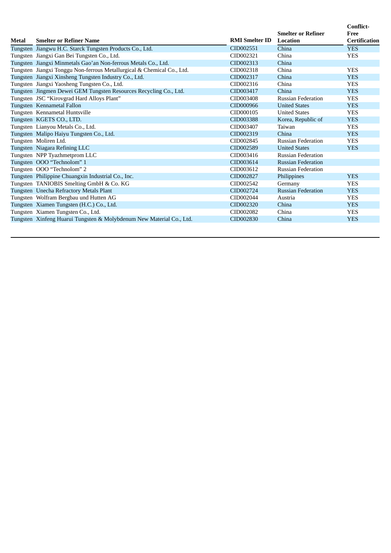|       |                                                                        |                       | <b>Smelter or Refiner</b> | Conflict-<br>Free    |
|-------|------------------------------------------------------------------------|-----------------------|---------------------------|----------------------|
| Metal | <b>Smelter or Refiner Name</b>                                         | <b>RMI</b> Smelter ID | <b>Location</b>           | <b>Certification</b> |
|       | Tungsten Jiangwu H.C. Starck Tungsten Products Co., Ltd.               | CID002551             | China                     | <b>YES</b>           |
|       | Tungsten Jiangxi Gan Bei Tungsten Co., Ltd.                            | CID002321             | China                     | <b>YES</b>           |
|       | Tungsten Jiangxi Minmetals Gao'an Non-ferrous Metals Co., Ltd.         | CID002313             | China                     |                      |
|       | Tungsten Jiangxi Tonggu Non-ferrous Metallurgical & Chemical Co., Ltd. | CID002318             | China                     | <b>YES</b>           |
|       | Tungsten Jiangxi Xinsheng Tungsten Industry Co., Ltd.                  | CID002317             | China                     | <b>YES</b>           |
|       | Tungsten Jiangxi Yaosheng Tungsten Co., Ltd.                           | CID002316             | China                     | <b>YES</b>           |
|       | Tungsten Jingmen Dewei GEM Tungsten Resources Recycling Co., Ltd.      | CID003417             | China                     | <b>YES</b>           |
|       | Tungsten JSC "Kirovgrad Hard Alloys Plant"                             | CID003408             | <b>Russian Federation</b> | <b>YES</b>           |
|       | Tungsten Kennametal Fallon                                             | CID000966             | <b>United States</b>      | <b>YES</b>           |
|       | Tungsten Kennametal Huntsville                                         | CID000105             | <b>United States</b>      | <b>YES</b>           |
|       | Tungsten KGETS CO., LTD.                                               | CID003388             | Korea, Republic of        | <b>YES</b>           |
|       | Tungsten Lianyou Metals Co., Ltd.                                      | CID003407             | Taiwan                    | <b>YES</b>           |
|       | Tungsten Malipo Haiyu Tungsten Co., Ltd.                               | CID002319             | China                     | <b>YES</b>           |
|       | Tungsten Moliren Ltd.                                                  | CID002845             | <b>Russian Federation</b> | <b>YES</b>           |
|       | Tungsten Niagara Refining LLC                                          | CID002589             | <b>United States</b>      | <b>YES</b>           |
|       | Tungsten NPP Tyazhmetprom LLC                                          | CID003416             | <b>Russian Federation</b> |                      |
|       | Tungsten OOO "Technolom" 1                                             | CID003614             | <b>Russian Federation</b> |                      |
|       | Tungsten OOO "Technolom" 2                                             | CID003612             | <b>Russian Federation</b> |                      |
|       | Tungsten Philippine Chuangxin Industrial Co., Inc.                     | CID002827             | Philippines               | <b>YES</b>           |
|       | Tungsten TANIOBIS Smelting GmbH & Co. KG                               | CID002542             | Germany                   | <b>YES</b>           |
|       | Tungsten Unecha Refractory Metals Plant                                | CID002724             | <b>Russian Federation</b> | <b>YES</b>           |
|       | Tungsten Wolfram Bergbau und Hutten AG                                 | CID002044             | Austria                   | <b>YES</b>           |
|       | Tungsten Xiamen Tungsten (H.C.) Co., Ltd.                              | CID002320             | China                     | <b>YES</b>           |
|       | Tungsten Xiamen Tungsten Co., Ltd.                                     | CID002082             | China                     | <b>YES</b>           |
|       | Tungsten Xinfeng Huarui Tungsten & Molybdenum New Material Co., Ltd.   | CID002830             | China                     | <b>YES</b>           |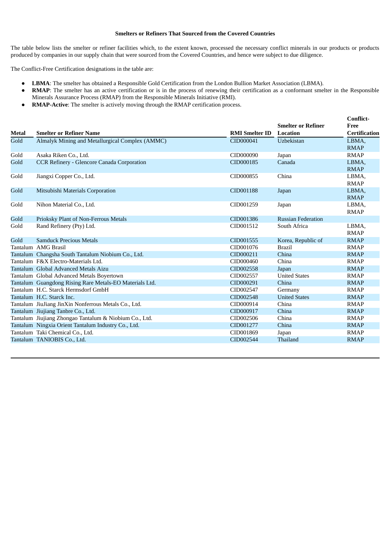### **Smelters or Refiners That Sourced from the Covered Countries**

The table below lists the smelter or refiner facilities which, to the extent known, processed the necessary conflict minerals in our products or products produced by companies in our supply chain that were sourced from the Covered Countries, and hence were subject to due diligence.

The Conflict-Free Certification designations in the table are:

- **LBMA**: The smelter has obtained a Responsible Gold Certification from the London Bullion Market Association (LBMA).
- **RMAP**: The smelter has an active certification or is in the process of renewing their certification as a conformant smelter in the Responsible Minerals Assurance Process (RMAP) from the Responsible Minerals Initiative (RMI).
- **RMAP-Active**: The smelter is actively moving through the RMAP certification process.

|              |                                                         |                       |                                              | <b>Conflict-</b>             |
|--------------|---------------------------------------------------------|-----------------------|----------------------------------------------|------------------------------|
| <b>Metal</b> | <b>Smelter or Refiner Name</b>                          | <b>RMI Smelter ID</b> | <b>Smelter or Refiner</b><br><b>Location</b> | Free<br><b>Certification</b> |
| Gold         | Almalyk Mining and Metallurgical Complex (AMMC)         | CID000041             | <b>Uzbekistan</b>                            | LBMA,                        |
|              |                                                         |                       |                                              | <b>RMAP</b>                  |
| Gold         | Asaka Riken Co., Ltd.                                   | CID000090             | Japan                                        | <b>RMAP</b>                  |
| Gold         | <b>CCR Refinery - Glencore Canada Corporation</b>       | CID000185             | Canada                                       | LBMA.                        |
|              |                                                         |                       |                                              | <b>RMAP</b>                  |
| Gold         | Jiangxi Copper Co., Ltd.                                | CID000855             | China                                        | LBMA,                        |
|              |                                                         |                       |                                              | <b>RMAP</b>                  |
| Gold         | Mitsubishi Materials Corporation                        | CID001188             | Japan                                        | LBMA,                        |
|              |                                                         |                       |                                              | <b>RMAP</b>                  |
| Gold         | Nihon Material Co., Ltd.                                | CID001259             | Japan                                        | LBMA,                        |
|              |                                                         |                       |                                              | <b>RMAP</b>                  |
| Gold         | Prioksky Plant of Non-Ferrous Metals                    | CID001386             | <b>Russian Federation</b>                    |                              |
| Gold         | Rand Refinery (Pty) Ltd.                                | CID001512             | South Africa                                 | LBMA,                        |
|              |                                                         |                       |                                              | <b>RMAP</b>                  |
| Gold         | <b>Samduck Precious Metals</b>                          | CID001555             | Korea, Republic of                           | <b>RMAP</b>                  |
|              | Tantalum AMG Brasil                                     | CID001076             | <b>Brazil</b>                                | <b>RMAP</b>                  |
|              | Tantalum Changsha South Tantalum Niobium Co., Ltd.      | CID000211             | China                                        | <b>RMAP</b>                  |
|              | Tantalum F&X Electro-Materials Ltd.                     | CID000460             | China                                        | <b>RMAP</b>                  |
|              | Tantalum Global Advanced Metals Aizu                    | CID002558             | Japan                                        | <b>RMAP</b>                  |
|              | Tantalum Global Advanced Metals Boyertown               | CID002557             | <b>United States</b>                         | <b>RMAP</b>                  |
|              | Tantalum Guangdong Rising Rare Metals-EO Materials Ltd. | CID000291             | China                                        | <b>RMAP</b>                  |
|              | Tantalum H.C. Starck Hermsdorf GmbH                     | CID002547             | Germany                                      | <b>RMAP</b>                  |
|              | Tantalum H.C. Starck Inc.                               | CID002548             | <b>United States</b>                         | <b>RMAP</b>                  |
|              | Tantalum JiuJiang JinXin Nonferrous Metals Co., Ltd.    | CID000914             | China                                        | <b>RMAP</b>                  |
|              | Tantalum Jiujiang Tanbre Co., Ltd.                      | CID000917             | China                                        | <b>RMAP</b>                  |
|              | Tantalum Jiujiang Zhongao Tantalum & Niobium Co., Ltd.  | CID002506             | China                                        | <b>RMAP</b>                  |
|              | Tantalum Ningxia Orient Tantalum Industry Co., Ltd.     | CID001277             | China                                        | <b>RMAP</b>                  |
|              | Tantalum Taki Chemical Co., Ltd.                        | CID001869             | Japan                                        | <b>RMAP</b>                  |
|              | Tantalum TANIOBIS Co., Ltd.                             | CID002544             | Thailand                                     | <b>RMAP</b>                  |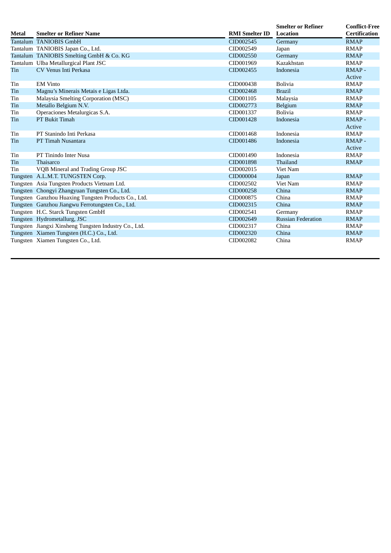| <b>Metal</b> | <b>Smelter or Refiner Name</b>                        | <b>RMI Smelter ID</b> | <b>Smelter or Refiner</b><br><b>Location</b> | <b>Conflict-Free</b><br><b>Certification</b> |
|--------------|-------------------------------------------------------|-----------------------|----------------------------------------------|----------------------------------------------|
|              | Tantalum TANIOBIS GmbH                                | CID002545             | Germany                                      | <b>RMAP</b>                                  |
|              | Tantalum TANIOBIS Japan Co., Ltd.                     | CID002549             | Japan                                        | <b>RMAP</b>                                  |
|              | Tantalum TANIOBIS Smelting GmbH & Co. KG              | CID002550             | Germany                                      | <b>RMAP</b>                                  |
|              | Tantalum Ulba Metallurgical Plant JSC                 | CID001969             | Kazakhstan                                   | <b>RMAP</b>                                  |
| Tin          | CV Venus Inti Perkasa                                 | CID002455             | Indonesia                                    | RMAP-                                        |
|              |                                                       |                       |                                              | Active                                       |
| Tin          | <b>EM Vinto</b>                                       | CID000438             | <b>Bolivia</b>                               | <b>RMAP</b>                                  |
| Tin          | Magnu's Minerais Metais e Ligas Ltda.                 | CID002468             | <b>Brazil</b>                                | <b>RMAP</b>                                  |
| Tin          | Malaysia Smelting Corporation (MSC)                   | CID001105             | Malaysia                                     | <b>RMAP</b>                                  |
| Tin          | Metallo Belgium N.V.                                  | CID002773             | Belgium                                      | <b>RMAP</b>                                  |
| Tin          | Operaciones Metalurgicas S.A.                         | CID001337             | <b>Bolivia</b>                               | <b>RMAP</b>                                  |
| Tin          | PT Bukit Timah                                        | CID001428             | Indonesia                                    | RMAP-                                        |
|              |                                                       |                       |                                              | Active                                       |
| Tin          | PT Stanindo Inti Perkasa                              | CID001468             | Indonesia                                    | <b>RMAP</b>                                  |
| Tin          | PT Timah Nusantara                                    | CID001486             | Indonesia                                    | RMAP-                                        |
|              |                                                       |                       |                                              | Active                                       |
| Tin          | PT Tinindo Inter Nusa                                 | CID001490             | Indonesia                                    | <b>RMAP</b>                                  |
| Tin          | Thaisarco                                             | CID001898             | Thailand                                     | <b>RMAP</b>                                  |
| Tin          | VQB Mineral and Trading Group JSC                     | CID002015             | Viet Nam                                     |                                              |
|              | Tungsten A.L.M.T. TUNGSTEN Corp.                      | CID000004             | Japan                                        | <b>RMAP</b>                                  |
|              | Tungsten Asia Tungsten Products Vietnam Ltd.          | CID002502             | <b>Viet Nam</b>                              | <b>RMAP</b>                                  |
|              | Tungsten Chongyi Zhangyuan Tungsten Co., Ltd.         | CID000258             | China                                        | <b>RMAP</b>                                  |
|              | Tungsten Ganzhou Huaxing Tungsten Products Co., Ltd.  | CID000875             | China                                        | <b>RMAP</b>                                  |
|              | Tungsten Ganzhou Jiangwu Ferrotungsten Co., Ltd.      | CID002315             | China                                        | <b>RMAP</b>                                  |
|              | Tungsten H.C. Starck Tungsten GmbH                    | CID002541             | Germany                                      | <b>RMAP</b>                                  |
|              | Tungsten Hydrometallurg, JSC                          | CID002649             | <b>Russian Federation</b>                    | <b>RMAP</b>                                  |
|              | Tungsten Jiangxi Xinsheng Tungsten Industry Co., Ltd. | CID002317             | China                                        | <b>RMAP</b>                                  |
|              | Tungsten Xiamen Tungsten (H.C.) Co., Ltd.             | CID002320             | China                                        | <b>RMAP</b>                                  |
|              | Tungsten Xiamen Tungsten Co., Ltd.                    | CID002082             | China                                        | <b>RMAP</b>                                  |